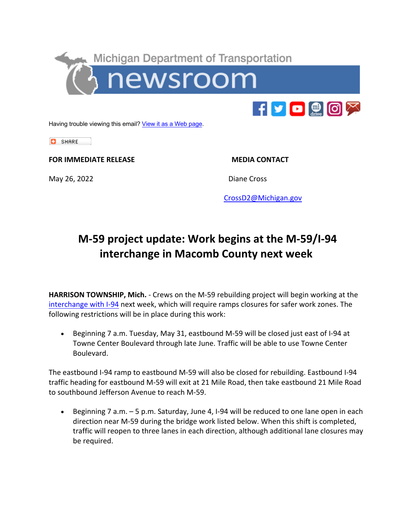



Having trouble viewing this email? View it as a Web page.

**C** SHARE

**FOR IMMEDIATE RELEASE MEDIA CONTACT** 

May 26, 2022 **Diane Cross** 

CrossD2@Michigan.gov

## **M-59 project update: Work begins at the M-59/I-94 interchange in Macomb County next week**

**HARRISON TOWNSHIP, Mich.** - Crews on the M-59 rebuilding project will begin working at the interchange with I-94 next week, which will require ramps closures for safer work zones. The following restrictions will be in place during this work:

• Beginning 7 a.m. Tuesday, May 31, eastbound M-59 will be closed just east of I-94 at Towne Center Boulevard through late June. Traffic will be able to use Towne Center Boulevard.

The eastbound I-94 ramp to eastbound M-59 will also be closed for rebuilding. Eastbound I-94 traffic heading for eastbound M-59 will exit at 21 Mile Road, then take eastbound 21 Mile Road to southbound Jefferson Avenue to reach M-59.

• Beginning 7 a.m. – 5 p.m. Saturday, June 4, I-94 will be reduced to one lane open in each direction near M-59 during the bridge work listed below. When this shift is completed, traffic will reopen to three lanes in each direction, although additional lane closures may be required.